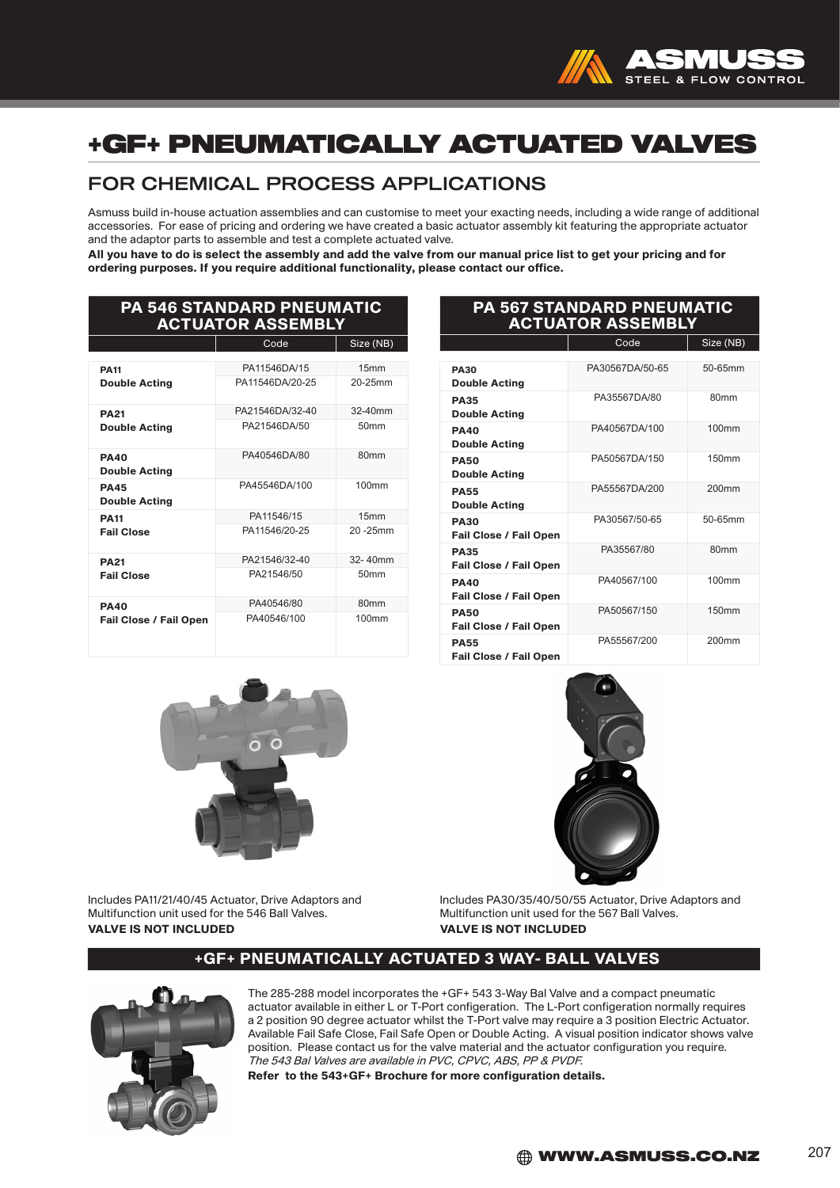

# +GF+ PNEUMATICALLY ACTUATED VALVES

## FOR CHEMICAL PROCESS APPLICATIONS

Asmuss build in-house actuation assemblies and can customise to meet your exacting needs, including a wide range of additional accessories. For ease of pricing and ordering we have created a basic actuator assembly kit featuring the appropriate actuator and the adaptor parts to assemble and test a complete actuated valve.

All you have to do is select the assembly and add the valve from our manual price list to get your pricing and for ordering purposes. If you require additional functionality, please contact our office.

| <b>PA 546 STANDARD PNEUMATIC</b><br><b>ACTUATOR ASSEMBLY</b> |                 |                  |  |  |  |
|--------------------------------------------------------------|-----------------|------------------|--|--|--|
|                                                              | Size (NB)       |                  |  |  |  |
|                                                              |                 |                  |  |  |  |
| <b>PA11</b>                                                  | PA11546DA/15    | 15 <sub>mm</sub> |  |  |  |
| <b>Double Acting</b>                                         | PA11546DA/20-25 | 20-25mm          |  |  |  |
| <b>PA21</b>                                                  | PA21546DA/32-40 | $32 - 40$ mm     |  |  |  |
| <b>Double Acting</b>                                         | PA21546DA/50    | 50mm             |  |  |  |
| <b>PA40</b><br><b>Double Acting</b>                          | PA40546DA/80    | 80 <sub>mm</sub> |  |  |  |
| <b>PA45</b><br><b>Double Acting</b>                          | PA45546DA/100   | 100mm            |  |  |  |
| <b>PA11</b>                                                  | PA11546/15      | 15mm             |  |  |  |
| <b>Fail Close</b>                                            | PA11546/20-25   | $20 - 25$ mm     |  |  |  |
| <b>PA21</b>                                                  | PA21546/32-40   | $32 - 40$ mm     |  |  |  |
| <b>Fail Close</b>                                            | PA21546/50      | 50 <sub>mm</sub> |  |  |  |
| <b>PA40</b>                                                  | PA40546/80      | 80 <sub>mm</sub> |  |  |  |
| <b>Fail Close / Fail Open</b>                                | PA40546/100     | 100mm            |  |  |  |

### PA 567 STANDARD PNEUMATIC ACTUATOR ASSEMBLY

|                               | Code            | Size (NB)         |
|-------------------------------|-----------------|-------------------|
|                               |                 |                   |
| <b>PA30</b>                   | PA30567DA/50-65 | 50-65mm           |
| <b>Double Acting</b>          |                 |                   |
| <b>PA35</b>                   | PA35567DA/80    | 80 <sub>mm</sub>  |
| <b>Double Acting</b>          |                 |                   |
| <b>PA40</b>                   | PA40567DA/100   | 100 <sub>mm</sub> |
| <b>Double Acting</b>          |                 |                   |
| <b>PA50</b>                   | PA50567DA/150   | 150mm             |
| <b>Double Acting</b>          |                 |                   |
| <b>PA55</b>                   | PA55567DA/200   | 200mm             |
| <b>Double Acting</b>          |                 |                   |
| <b>PA30</b>                   | PA30567/50-65   | 50-65mm           |
| <b>Fail Close / Fail Open</b> |                 |                   |
| <b>PA35</b>                   | PA35567/80      | 80mm              |
| <b>Fail Close / Fail Open</b> |                 |                   |
| <b>PA40</b>                   | PA40567/100     | 100mm             |
| <b>Fail Close / Fail Open</b> |                 |                   |
| <b>PA50</b>                   | PA50567/150     | 150mm             |
| <b>Fail Close / Fail Open</b> |                 |                   |
| <b>PA55</b>                   | PA55567/200     | 200 <sub>mm</sub> |
| <b>Fail Close / Fail Open</b> |                 |                   |
|                               |                 |                   |





Includes PA11/21/40/45 Actuator, Drive Adaptors and Multifunction unit used for the 546 Ball Valves. VALVE IS NOT INCLUDED

Includes PA30/35/40/50/55 Actuator, Drive Adaptors and Multifunction unit used for the 567 Ball Valves. VALVE IS NOT INCLUDED

### +GF+ PNEUMATICALLY ACTUATED 3 WAY- BALL VALVES



The 285-288 model incorporates the +GF+ 543 3-Way Bal Valve and a compact pneumatic actuator available in either L or T-Port configeration. The L-Port configeration normally requires a 2 position 90 degree actuator whilst the T-Port valve may require a 3 position Electric Actuator. Available Fail Safe Close, Fail Safe Open or Double Acting. A visual position indicator shows valve position. Please contact us for the valve material and the actuator configuration you require. The 543 Bal Valves are available in PVC, CPVC, ABS, PP & PVDF.

Refer to the 543+GF+ Brochure for more configuration details.